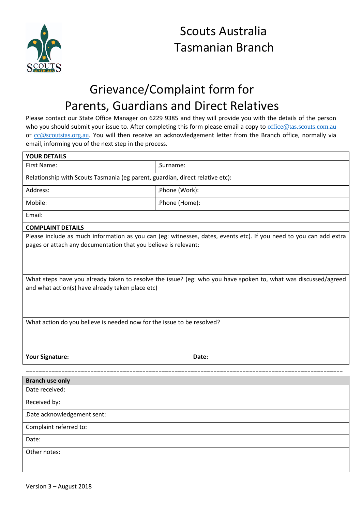

## Scouts Australia Tasmanian Branch

## Grievance/Complaint form for Parents, Guardians and Direct Relatives

Please contact our State Office Manager on 6229 9385 and they will provide you with the details of the person who you should submit your issue to. After completing this form please email a copy to [office@tas.scouts.com.au](mailto:office@tas.scouts.com.au) or [cc@scoutstas.org.au.](mailto:cc@scoutstas.org.au) You will then receive an acknowledgement letter from the Branch office, normally via email, informing you of the next step in the process.

| <b>YOUR DETAILS</b>                                                                                                                                                                   |               |       |
|---------------------------------------------------------------------------------------------------------------------------------------------------------------------------------------|---------------|-------|
| First Name:                                                                                                                                                                           | Surname:      |       |
| Relationship with Scouts Tasmania (eg parent, guardian, direct relative etc):                                                                                                         |               |       |
| Address:                                                                                                                                                                              | Phone (Work): |       |
| Mobile:                                                                                                                                                                               | Phone (Home): |       |
| Email:                                                                                                                                                                                |               |       |
| <b>COMPLAINT DETAILS</b>                                                                                                                                                              |               |       |
| Please include as much information as you can (eg: witnesses, dates, events etc). If you need to you can add extra<br>pages or attach any documentation that you believe is relevant: |               |       |
| What steps have you already taken to resolve the issue? (eg: who you have spoken to, what was discussed/agreed<br>and what action(s) have already taken place etc)                    |               |       |
| What action do you believe is needed now for the issue to be resolved?                                                                                                                |               |       |
| Your Signature:                                                                                                                                                                       |               | Date: |
|                                                                                                                                                                                       |               |       |
| <b>Branch use only</b>                                                                                                                                                                |               |       |
| Date received:                                                                                                                                                                        |               |       |
| Received by:                                                                                                                                                                          |               |       |
| Date acknowledgement sent:                                                                                                                                                            |               |       |
| Complaint referred to:                                                                                                                                                                |               |       |
| Date:                                                                                                                                                                                 |               |       |
| Other notes:                                                                                                                                                                          |               |       |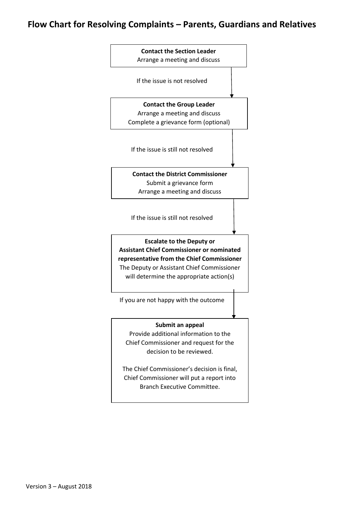## **Flow Chart for Resolving Complaints – Parents, Guardians and Relatives**